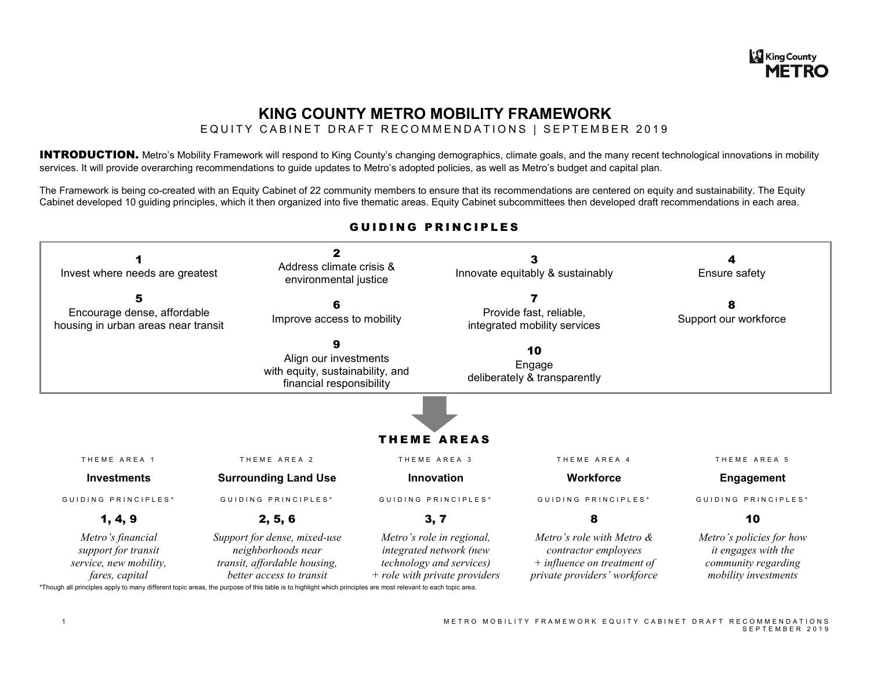# **KING COUNTY METRO MOBILITY FRAMEWORK**

EQUITY CABINET DRAFT RECOMMENDATIONS | SEPTEMBER 2019

INTRODUCTION. Metro's Mobility Framework will respond to King County's changing demographics, climate goals, and the many recent technological innovations in mobility services. It will provide overarching recommendations to guide updates to Metro's adopted policies, as well as Metro's budget and capital plan.

The Framework is being co-created with an Equity Cabinet of 22 community members to ensure that its recommendations are centered on equity and sustainability. The Equity Cabinet developed 10 guiding principles, which it then organized into five thematic areas. Equity Cabinet subcommittees then developed draft recommendations in each area.



### G UIDING PRINCIPLES

\*Though all principles apply to many different topic areas, the purpose of this table is to highlight which principles are most relevant to each topic area.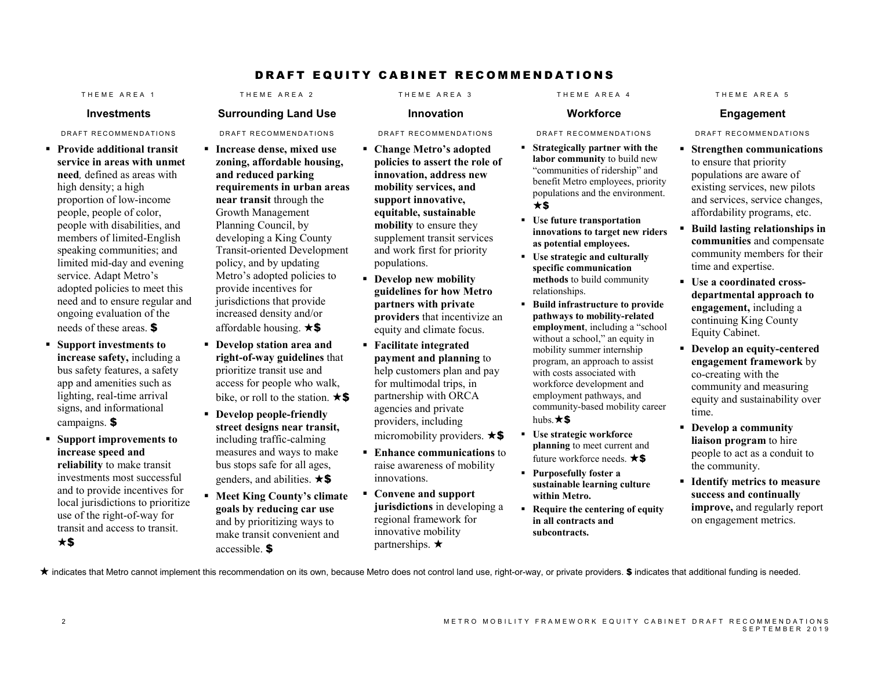### DRAFT EQUITY CABINET RECOMMENDATIONS

T HEME AREA 1 T HEME AREA 2 T HEME AREA 3 T HEME AREA 4 T HEME AREA 5

- **Provide additional transit service in areas with unmet need***,* defined as areas with high density; a high proportion of low-income people, people of color, people with disabilities, and members of limited-English speaking communities; and limited mid-day and evening service. Adapt Metro's adopted policies to meet this need and to ensure regular and ongoing evaluation of the needs of these areas.
- **Support investments to increase safety,** including a bus safety features, a safety app and amenities such as lighting, real-time arrival signs, and informational campaigns. \$
- **Support improvements to increase speed and reliability** to make transit investments most successful and to provide incentives for local jurisdictions to prioritize use of the right-of-way for transit and access to transit.  $\star$ \$

## **Investments Surrounding Land Use <b>Innovation Workforce Engagement**

- **Increase dense, mixed use zoning, affordable housing, and reduced parking requirements in urban areas near transit** through the Growth Management Planning Council, by developing a King County Transit-oriented Development policy, and by updating Metro's adopted policies to provide incentives for jurisdictions that provide increased density and/or affordable housing.  $\star$ \$
- **Develop station area and right-of-way guidelines** that prioritize transit use and access for people who walk, bike, or roll to the station.  $\star$  \$
- **Develop people-friendly street designs near transit,**  including traffic-calming measures and ways to make bus stops safe for all ages, genders, and abilities.  $\star$ \$
- **Meet King County's climate goals by reducing car use**  and by prioritizing ways to make transit convenient and accessible. \$

- **Change Metro's adopted policies to assert the role of innovation, address new mobility services, and support innovative, equitable, sustainable mobility** to ensure they supplement transit services and work first for priority populations.
- **Develop new mobility guidelines for how Metro partners with private providers** that incentivize an equity and climate focus.
- **Facilitate integrated payment and planning** to help customers plan and pay for multimodal trips, in partnership with ORCA agencies and private providers, including micromobility providers.  $\star$ \$
- **Enhance communications** to raise awareness of mobility innovations.
- **Convene and support jurisdictions** in developing a regional framework for innovative mobility partnerships.  $\star$

- **Strategically partner with the labor community** to build new "communities of ridership" and benefit Metro employees, priority populations and the environment.  $\star$ \$
- **Use future transportation innovations to target new riders as potential employees.**
- **Use strategic and culturally specific communication methods** to build community relationships.
- **Build infrastructure to provide pathways to mobility-related employment**, including a "school without a school," an equity in mobility summer internship program, an approach to assist with costs associated with workforce development and employment pathways, and community-based mobility career hubs.  $\star$ \$
- **Use strategic workforce planning** to meet current and future workforce needs.  $\star$ \$
- **Purposefully foster a sustainable learning culture within Metro.**
- **Require the centering of equity in all contracts and subcontracts.**

DRAFT RECOMMENDATIONS DRAFT RECOMMENDATIONS DRAFT RECOMMENDATIONS DRAFT RECOMMENDATIONS DRAFT RECOMMENDATIONS

- **Strengthen communications**  to ensure that priority populations are aware of existing services, new pilots and services, service changes, affordability programs, etc.
- **Build lasting relationships in communities** and compensate community members for their time and expertise.
- **Use a coordinated crossdepartmental approach to engagement,** including a continuing King County Equity Cabinet.
- **Develop an equity-centered engagement framework** by co-creating with the community and measuring equity and sustainability over time.
- **Develop a community liaison program** to hire people to act as a conduit to the community.
- **Identify metrics to measure success and continually improve,** and regularly report on engagement metrics.

★ indicates that Metro cannot implement this recommendation on its own, because Metro does not control land use, right-or-way, or private providers. \$ indicates that additional funding is needed.